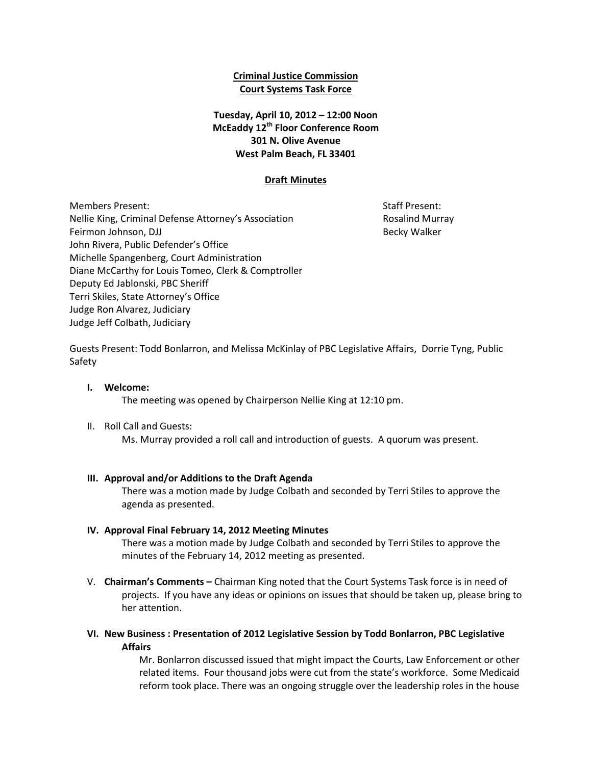## **Criminal Justice Commission Court Systems Task Force**

# **Tuesday, April 10, 2012 – 12:00 Noon McEaddy 12th Floor Conference Room 301 N. Olive Avenue West Palm Beach, FL 33401**

## **Draft Minutes**

Members Present: Staff Present: Staff Present: Staff Present: Staff Present: Staff Present: Staff Present: Staff Present: Staff Present: Staff Present: Staff Present: Staff Present: Staff Present: Staff Present: Staff Pres Nellie King, Criminal Defense Attorney's Association **Research Rosalind Murray** Feirmon Johnson, DJJ Becky Walker John Rivera, Public Defender's Office Michelle Spangenberg, Court Administration Diane McCarthy for Louis Tomeo, Clerk & Comptroller Deputy Ed Jablonski, PBC Sheriff Terri Skiles, State Attorney's Office Judge Ron Alvarez, Judiciary Judge Jeff Colbath, Judiciary

Guests Present: Todd Bonlarron, and Melissa McKinlay of PBC Legislative Affairs, Dorrie Tyng, Public Safety

### **I. Welcome:**

The meeting was opened by Chairperson Nellie King at 12:10 pm.

II. Roll Call and Guests:

Ms. Murray provided a roll call and introduction of guests. A quorum was present.

#### **III. Approval and/or Additions to the Draft Agenda**

There was a motion made by Judge Colbath and seconded by Terri Stiles to approve the agenda as presented.

#### **IV. Approval Final February 14, 2012 Meeting Minutes**

There was a motion made by Judge Colbath and seconded by Terri Stiles to approve the minutes of the February 14, 2012 meeting as presented.

- V. **Chairman's Comments –** Chairman King noted that the Court Systems Task force is in need of projects. If you have any ideas or opinions on issues that should be taken up, please bring to her attention.
- **VI. New Business : Presentation of 2012 Legislative Session by Todd Bonlarron, PBC Legislative Affairs**

Mr. Bonlarron discussed issued that might impact the Courts, Law Enforcement or other related items. Four thousand jobs were cut from the state's workforce. Some Medicaid reform took place. There was an ongoing struggle over the leadership roles in the house